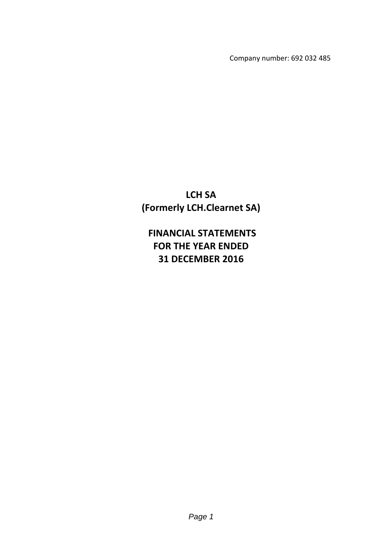Company number: 692 032 485

**LCH SA (Formerly LCH.Clearnet SA)**

**FINANCIAL STATEMENTS FOR THE YEAR ENDED 31 DECEMBER 2016**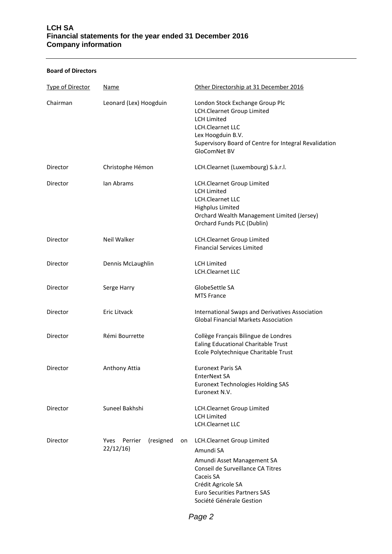# **LCH SA Financial statements for the year ended 31 December 2016 Company information**

# **Board of Directors**

| <b>Type of Director</b> | Name                                                  | Other Directorship at 31 December 2016                                                                                                                                                                           |
|-------------------------|-------------------------------------------------------|------------------------------------------------------------------------------------------------------------------------------------------------------------------------------------------------------------------|
| Chairman                | Leonard (Lex) Hoogduin                                | London Stock Exchange Group Plc<br>LCH.Clearnet Group Limited<br><b>LCH Limited</b><br>LCH.Clearnet LLC<br>Lex Hoogduin B.V.<br>Supervisory Board of Centre for Integral Revalidation<br>GloComNet BV            |
| Director                | Christophe Hémon                                      | LCH.Clearnet (Luxembourg) S.à.r.l.                                                                                                                                                                               |
| Director                | lan Abrams                                            | LCH.Clearnet Group Limited<br><b>LCH Limited</b><br><b>LCH.Clearnet LLC</b><br><b>Highplus Limited</b><br>Orchard Wealth Management Limited (Jersey)<br>Orchard Funds PLC (Dublin)                               |
| Director                | <b>Neil Walker</b>                                    | LCH.Clearnet Group Limited<br><b>Financial Services Limited</b>                                                                                                                                                  |
| Director                | Dennis McLaughlin                                     | <b>LCH Limited</b><br>LCH.Clearnet LLC                                                                                                                                                                           |
| Director                | Serge Harry                                           | GlobeSettle SA<br><b>MTS France</b>                                                                                                                                                                              |
| Director                | Eric Litvack                                          | International Swaps and Derivatives Association<br><b>Global Financial Markets Association</b>                                                                                                                   |
| Director                | Rémi Bourrette                                        | Collège Français Bilingue de Londres<br>Ealing Educational Charitable Trust<br>Ecole Polytechnique Charitable Trust                                                                                              |
| Director                | Anthony Attia                                         | <b>Euronext Paris SA</b><br>EnterNext SA<br><b>Euronext Technologies Holding SAS</b><br>Euronext N.V.                                                                                                            |
| Director                | Suneel Bakhshi                                        | LCH.Clearnet Group Limited<br><b>LCH Limited</b><br><b>LCH.Clearnet LLC</b>                                                                                                                                      |
| Director                | (resigned<br><b>Yves</b><br>Perrier<br>on<br>22/12/16 | LCH.Clearnet Group Limited<br>Amundi SA<br>Amundi Asset Management SA<br>Conseil de Surveillance CA Titres<br>Caceis SA<br>Crédit Agricole SA<br><b>Euro Securities Partners SAS</b><br>Société Générale Gestion |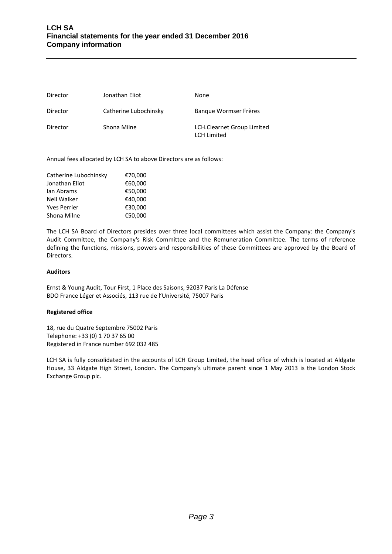| Director | Jonathan Eliot        | None                                                    |
|----------|-----------------------|---------------------------------------------------------|
| Director | Catherine Lubochinsky | Bangue Wormser Frères                                   |
| Director | Shona Milne           | <b>LCH.Clearnet Group Limited</b><br><b>LCH Limited</b> |

Annual fees allocated by LCH SA to above Directors are as follows:

| Catherine Lubochinsky | €70,000 |
|-----------------------|---------|
| Jonathan Eliot        | €60,000 |
| lan Abrams            | €50,000 |
| Neil Walker           | €40.000 |
| <b>Yves Perrier</b>   | €30,000 |
| Shona Milne           | €50,000 |

The LCH SA Board of Directors presides over three local committees which assist the Company: the Company's Audit Committee, the Company's Risk Committee and the Remuneration Committee. The terms of reference defining the functions, missions, powers and responsibilities of these Committees are approved by the Board of Directors.

# **Auditors**

Ernst & Young Audit, Tour First, 1 Place des Saisons, 92037 Paris La Défense BDO France Léger et Associés, 113 rue de l'Université, 75007 Paris

# **Registered office**

18, rue du Quatre Septembre 75002 Paris Telephone: +33 (0) 1 70 37 65 00 Registered in France number 692 032 485

LCH SA is fully consolidated in the accounts of LCH Group Limited, the head office of which is located at Aldgate House, 33 Aldgate High Street, London. The Company's ultimate parent since 1 May 2013 is the London Stock Exchange Group plc.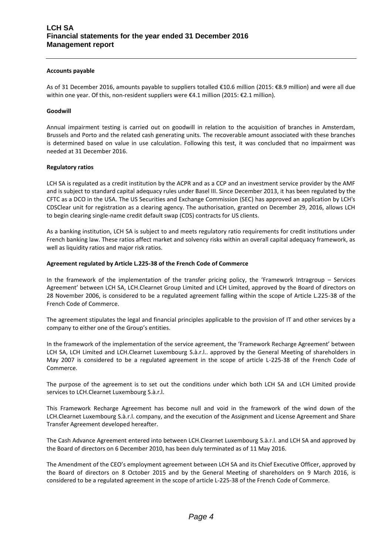### **Accounts payable**

As of 31 December 2016, amounts payable to suppliers totalled €10.6 million (2015: €8.9 million) and were all due within one year. Of this, non-resident suppliers were €4.1 million (2015: €2.1 million).

### **Goodwill**

Annual impairment testing is carried out on goodwill in relation to the acquisition of branches in Amsterdam, Brussels and Porto and the related cash generating units. The recoverable amount associated with these branches is determined based on value in use calculation. Following this test, it was concluded that no impairment was needed at 31 December 2016.

### **Regulatory ratios**

LCH SA is regulated as a credit institution by the ACPR and as a CCP and an investment service provider by the AMF and is subject to standard capital adequacy rules under Basel III. Since December 2013, it has been regulated by the CFTC as a DCO in the USA. The US Securities and Exchange Commission (SEC) has approved an application by LCH's CDSClear unit for registration as a clearing agency. The authorisation, granted on December 29, 2016, allows LCH to begin clearing single-name credit default swap (CDS) contracts for US clients.

As a banking institution, LCH SA is subject to and meets regulatory ratio requirements for credit institutions under French banking law. These ratios affect market and solvency risks within an overall capital adequacy framework, as well as liquidity ratios and major risk ratios.

### **Agreement regulated by Article L.225-38 of the French Code of Commerce**

In the framework of the implementation of the transfer pricing policy, the 'Framework Intragroup – Services Agreement' between LCH SA, LCH.Clearnet Group Limited and LCH Limited, approved by the Board of directors on 28 November 2006, is considered to be a regulated agreement falling within the scope of Article L.225-38 of the French Code of Commerce.

The agreement stipulates the legal and financial principles applicable to the provision of IT and other services by a company to either one of the Group's entities.

In the framework of the implementation of the service agreement, the 'Framework Recharge Agreement' between LCH SA, LCH Limited and LCH.Clearnet Luxembourg S.à.r.l.. approved by the General Meeting of shareholders in May 2007 is considered to be a regulated agreement in the scope of article L-225-38 of the French Code of Commerce.

The purpose of the agreement is to set out the conditions under which both LCH SA and LCH Limited provide services to LCH.Clearnet Luxembourg S.à.r.l.

This Framework Recharge Agreement has become null and void in the framework of the wind down of the LCH.Clearnet Luxembourg S.à.r.l. company, and the execution of the Assignment and License Agreement and Share Transfer Agreement developed hereafter.

The Cash Advance Agreement entered into between LCH.Clearnet Luxembourg S.à.r.l. and LCH SA and approved by the Board of directors on 6 December 2010, has been duly terminated as of 11 May 2016.

The Amendment of the CEO's employment agreement between LCH SA and its Chief Executive Officer, approved by the Board of directors on 8 October 2015 and by the General Meeting of shareholders on 9 March 2016, is considered to be a regulated agreement in the scope of article L-225-38 of the French Code of Commerce.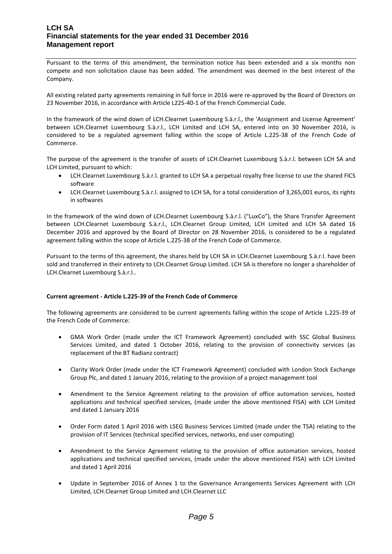# **LCH SA Financial statements for the year ended 31 December 2016 Management report**

Pursuant to the terms of this amendment, the termination notice has been extended and a six months non compete and non solicitation clause has been added. The amendment was deemed in the best interest of the Company.

All existing related party agreements remaining in full force in 2016 were re-approved by the Board of Directors on 23 November 2016, in accordance with Article L225-40-1 of the French Commercial Code.

In the framework of the wind down of LCH.Clearnet Luxembourg S.à.r.l., the 'Assignment and License Agreement' between LCH.Clearnet Luxembourg S.à.r.l., LCH Limited and LCH SA, entered into on 30 November 2016, is considered to be a regulated agreement falling within the scope of Article L.225-38 of the French Code of Commerce.

The purpose of the agreement is the transfer of assets of LCH.Clearnet Luxembourg S.à.r.l. between LCH SA and LCH Limited, pursuant to which:

- LCH.Clearnet Luxembourg S.à.r.l. granted to LCH SA a perpetual royalty free license to use the shared FICS software
- LCH.Clearnet Luxembourg S.à.r.l. assigned to LCH SA, for a total consideration of 3,265,001 euros, its rights in softwares

In the framework of the wind down of LCH.Clearnet Luxembourg S.à.r.l. ("LuxCo"), the Share Transfer Agreement between LCH.Clearnet Luxembourg S.à.r.l., LCH.Clearnet Group Limited, LCH Limited and LCH SA dated 16 December 2016 and approved by the Board of Director on 28 November 2016, is considered to be a regulated agreement falling within the scope of Article L.225-38 of the French Code of Commerce.

Pursuant to the terms of this agreement, the shares held by LCH SA in LCH.Clearnet Luxembourg S.à.r.l. have been sold and transferred in their entirety to LCH.Clearnet Group Limited. LCH SA is therefore no longer a shareholder of LCH.Clearnet Luxembourg S.à.r.l..

# **Current agreement - Article L.225-39 of the French Code of Commerce**

The following agreements are considered to be current agreements falling within the scope of Article L.225-39 of the French Code of Commerce:

- GMA Work Order (made under the ICT Framework Agreement) concluded with SSC Global Business Services Limited, and dated 1 October 2016, relating to the provision of connectivity services (as replacement of the BT Radianz contract)
- Clarity Work Order (made under the ICT Framework Agreement) concluded with London Stock Exchange Group Plc, and dated 1 January 2016, relating to the provision of a project management tool
- Amendment to the Service Agreement relating to the provision of office automation services, hosted applications and technical specified services, (made under the above mentioned FISA) with LCH Limited and dated 1 January 2016
- Order Form dated 1 April 2016 with LSEG Business Services Limited (made under the TSA) relating to the provision of IT Services (technical specified services, networks, end user computing)
- Amendment to the Service Agreement relating to the provision of office automation services, hosted applications and technical specified services, (made under the above mentioned FISA) with LCH Limited and dated 1 April 2016
- Update in September 2016 of Annex 1 to the Governance Arrangements Services Agreement with LCH Limited, LCH.Clearnet Group Limited and LCH.Clearnet LLC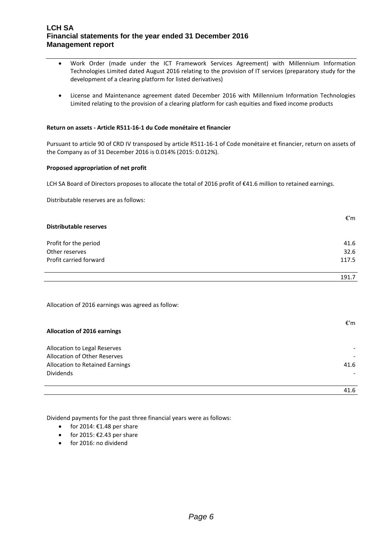# **LCH SA Financial statements for the year ended 31 December 2016 Management report**

- Work Order (made under the ICT Framework Services Agreement) with Millennium Information Technologies Limited dated August 2016 relating to the provision of IT services (preparatory study for the development of a clearing platform for listed derivatives)
- License and Maintenance agreement dated December 2016 with Millennium Information Technologies Limited relating to the provision of a clearing platform for cash equities and fixed income products

### **Return on assets - Article R511-16-1 du Code monétaire et financier**

Pursuant to article 90 of CRD IV transposed by article R511-16-1 of Code monétaire et financier, return on assets of the Company as of 31 December 2016 is 0.014% (2015: 0.012%).

### **Proposed appropriation of net profit**

LCH SA Board of Directors proposes to allocate the total of 2016 profit of €41.6 million to retained earnings.

Distributable reserves are as follows:

| Distributable reserves | €'m   |
|------------------------|-------|
| Profit for the period  | 41.6  |
| Other reserves         | 32.6  |
| Profit carried forward | 117.5 |
|                        | 191.7 |

Allocation of 2016 earnings was agreed as follow:

| <b>Allocation of 2016 earnings</b> | €'m                      |
|------------------------------------|--------------------------|
|                                    |                          |
| Allocation to Legal Reserves       |                          |
| Allocation of Other Reserves       |                          |
| Allocation to Retained Earnings    | 41.6                     |
| <b>Dividends</b>                   | $\overline{\phantom{0}}$ |
|                                    |                          |
|                                    | 41.6                     |
|                                    |                          |

Dividend payments for the past three financial years were as follows:

- for 2014:  $€1.48$  per share
- $•$  for 2015: €2.43 per share
- for 2016: no dividend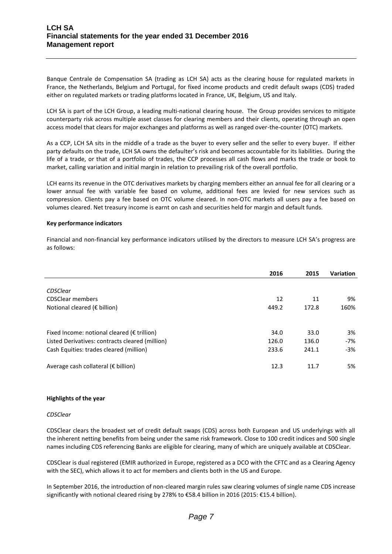Banque Centrale de Compensation SA (trading as LCH SA) acts as the clearing house for regulated markets in France, the Netherlands, Belgium and Portugal, for fixed income products and credit default swaps (CDS) traded either on regulated markets or trading platforms located in France, UK, Belgium, US and Italy.

LCH SA is part of the LCH Group, a leading multi-national clearing house. The Group provides services to mitigate counterparty risk across multiple asset classes for clearing members and their clients, operating through an open access model that clears for major exchanges and platforms as well as ranged over-the-counter (OTC) markets.

As a CCP, LCH SA sits in the middle of a trade as the buyer to every seller and the seller to every buyer. If either party defaults on the trade, LCH SA owns the defaulter's risk and becomes accountable for its liabilities. During the life of a trade, or that of a portfolio of trades, the CCP processes all cash flows and marks the trade or book to market, calling variation and initial margin in relation to prevailing risk of the overall portfolio.

LCH earns its revenue in the OTC derivatives markets by charging members either an annual fee for all clearing or a lower annual fee with variable fee based on volume, additional fees are levied for new services such as compression. Clients pay a fee based on OTC volume cleared. In non-OTC markets all users pay a fee based on volumes cleared. Net treasury income is earnt on cash and securities held for margin and default funds.

# **Key performance indicators**

Financial and non-financial key performance indicators utilised by the directors to measure LCH SA's progress are as follows:

|                                                       | 2016  | 2015  | Variation |
|-------------------------------------------------------|-------|-------|-----------|
|                                                       |       |       |           |
| CDSClear                                              |       |       |           |
| <b>CDSClear members</b>                               | 12    | 11    | 9%        |
| Notional cleared ( $\epsilon$ billion)                | 449.2 | 172.8 | 160%      |
|                                                       |       |       |           |
| Fixed Income: notional cleared ( $\epsilon$ trillion) | 34.0  | 33.0  | 3%        |
| Listed Derivatives: contracts cleared (million)       | 126.0 | 136.0 | -7%       |
| Cash Equities: trades cleared (million)               | 233.6 | 241.1 | -3%       |
| Average cash collateral ( $\epsilon$ billion)         | 12.3  | 11.7  | 5%        |

### **Highlights of the year**

### *CDSClear*

CDSClear clears the broadest set of credit default swaps (CDS) across both European and US underlyings with all the inherent netting benefits from being under the same risk framework. Close to 100 credit indices and 500 single names including CDS referencing Banks are eligible for clearing, many of which are uniquely available at CDSClear.

CDSClear is dual registered (EMIR authorized in Europe, registered as a DCO with the CFTC and as a Clearing Agency with the SEC), which allows it to act for members and clients both in the US and Europe.

In September 2016, the introduction of non-cleared margin rules saw clearing volumes of single name CDS increase significantly with notional cleared rising by 278% to €58.4 billion in 2016 (2015: €15.4 billion).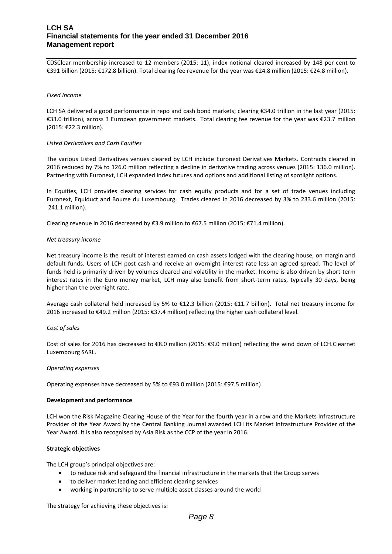# **LCH SA Financial statements for the year ended 31 December 2016 Management report**

CDSClear membership increased to 12 members (2015: 11), index notional cleared increased by 148 per cent to €391 billion (2015: €172.8 billion). Total clearing fee revenue for the year was €24.8 million (2015: €24.8 million).

### *Fixed Income*

LCH SA delivered a good performance in repo and cash bond markets; clearing €34.0 trillion in the last year (2015: €33.0 trillion), across 3 European government markets. Total clearing fee revenue for the year was €23.7 million (2015: €22.3 million).

### *Listed Derivatives and Cash Equities*

The various Listed Derivatives venues cleared by LCH include Euronext Derivatives Markets. Contracts cleared in 2016 reduced by 7% to 126.0 million reflecting a decline in derivative trading across venues (2015: 136.0 million). Partnering with Euronext, LCH expanded index futures and options and additional listing of spotlight options.

In Equities, LCH provides clearing services for cash equity products and for a set of trade venues including Euronext, Equiduct and Bourse du Luxembourg. Trades cleared in 2016 decreased by 3% to 233.6 million (2015: 241.1 million).

Clearing revenue in 2016 decreased by €3.9 million to €67.5 million (2015: €71.4 million).

### *Net treasury income*

Net treasury income is the result of interest earned on cash assets lodged with the clearing house, on margin and default funds. Users of LCH post cash and receive an overnight interest rate less an agreed spread. The level of funds held is primarily driven by volumes cleared and volatility in the market. Income is also driven by short-term interest rates in the Euro money market, LCH may also benefit from short-term rates, typically 30 days, being higher than the overnight rate.

Average cash collateral held increased by 5% to €12.3 billion (2015: €11.7 billion). Total net treasury income for 2016 increased to €49.2 million (2015: €37.4 million) reflecting the higher cash collateral level.

### *Cost of sales*

Cost of sales for 2016 has decreased to €8.0 million (2015: €9.0 million) reflecting the wind down of LCH.Clearnet Luxembourg SARL.

### *Operating expenses*

Operating expenses have decreased by 5% to €93.0 million (2015: €97.5 million)

### **Development and performance**

LCH won the Risk Magazine Clearing House of the Year for the fourth year in a row and the Markets Infrastructure Provider of the Year Award by the Central Banking Journal awarded LCH its Market Infrastructure Provider of the Year Award. It is also recognised by Asia Risk as the CCP of the year in 2016.

# **Strategic objectives**

The LCH group's principal objectives are:

- to reduce risk and safeguard the financial infrastructure in the markets that the Group serves
- to deliver market leading and efficient clearing services
- working in partnership to serve multiple asset classes around the world

The strategy for achieving these objectives is: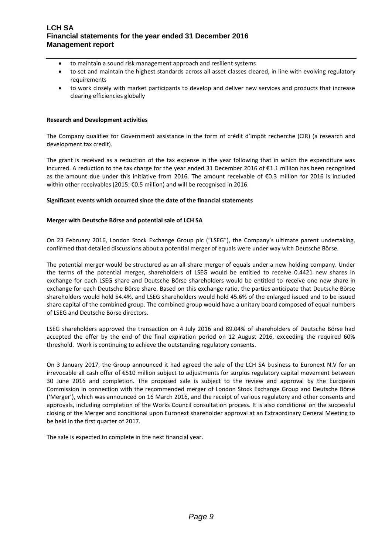# **LCH SA Financial statements for the year ended 31 December 2016 Management report**

- to maintain a sound risk management approach and resilient systems
- to set and maintain the highest standards across all asset classes cleared, in line with evolving regulatory requirements
- to work closely with market participants to develop and deliver new services and products that increase clearing efficiencies globally

# **Research and Development activities**

The Company qualifies for Government assistance in the form of crédit d'impôt recherche (CIR) (a research and development tax credit).

The grant is received as a reduction of the tax expense in the year following that in which the expenditure was incurred. A reduction to the tax charge for the year ended 31 December 2016 of €1.1 million has been recognised as the amount due under this initiative from 2016. The amount receivable of €0.3 million for 2016 is included within other receivables (2015: €0.5 million) and will be recognised in 2016.

# **Significant events which occurred since the date of the financial statements**

# **Merger with Deutsche Börse and potential sale of LCH SA**

On 23 February 2016, London Stock Exchange Group plc ("LSEG"), the Company's ultimate parent undertaking, confirmed that detailed discussions about a potential merger of equals were under way with Deutsche Börse.

The potential merger would be structured as an all-share merger of equals under a new holding company. Under the terms of the potential merger, shareholders of LSEG would be entitled to receive 0.4421 new shares in exchange for each LSEG share and Deutsche Börse shareholders would be entitled to receive one new share in exchange for each Deutsche Börse share. Based on this exchange ratio, the parties anticipate that Deutsche Börse shareholders would hold 54.4%, and LSEG shareholders would hold 45.6% of the enlarged issued and to be issued share capital of the combined group. The combined group would have a unitary board composed of equal numbers of LSEG and Deutsche Börse directors.

LSEG shareholders approved the transaction on 4 July 2016 and 89.04% of shareholders of Deutsche Börse had accepted the offer by the end of the final expiration period on 12 August 2016, exceeding the required 60% threshold. Work is continuing to achieve the outstanding regulatory consents.

On 3 January 2017, the Group announced it had agreed the sale of the LCH SA business to Euronext N.V for an irrevocable all cash offer of €510 million subject to adjustments for surplus regulatory capital movement between 30 June 2016 and completion. The proposed sale is subject to the review and approval by the European Commission in connection with the recommended merger of London Stock Exchange Group and Deutsche Börse ('Merger'), which was announced on 16 March 2016, and the receipt of various regulatory and other consents and approvals, including completion of the Works Council consultation process. It is also conditional on the successful closing of the Merger and conditional upon Euronext shareholder approval at an Extraordinary General Meeting to be held in the first quarter of 2017.

The sale is expected to complete in the next financial year.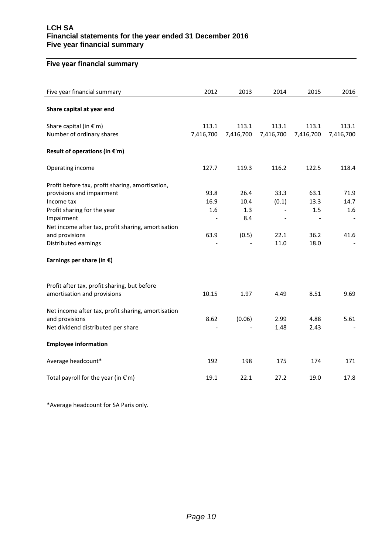# **LCH SA Financial statements for the year ended 31 December 2016 Five year financial summary**

# **Five year financial summary**

| Five year financial summary                        | 2012      | 2013      | 2014      | 2015      | 2016      |
|----------------------------------------------------|-----------|-----------|-----------|-----------|-----------|
| Share capital at year end                          |           |           |           |           |           |
| Share capital (in €'m)                             | 113.1     | 113.1     | 113.1     | 113.1     | 113.1     |
| Number of ordinary shares                          | 7,416,700 | 7,416,700 | 7,416,700 | 7,416,700 | 7,416,700 |
| Result of operations (in €'m)                      |           |           |           |           |           |
| Operating income                                   | 127.7     | 119.3     | 116.2     | 122.5     | 118.4     |
| Profit before tax, profit sharing, amortisation,   |           |           |           |           |           |
| provisions and impairment                          | 93.8      | 26.4      | 33.3      | 63.1      | 71.9      |
| Income tax                                         | 16.9      | 10.4      | (0.1)     | 13.3      | 14.7      |
| Profit sharing for the year                        | 1.6       | 1.3       |           | 1.5       | 1.6       |
| Impairment                                         |           | 8.4       |           |           |           |
| Net income after tax, profit sharing, amortisation |           |           |           |           |           |
| and provisions                                     | 63.9      | (0.5)     | 22.1      | 36.2      | 41.6      |
| Distributed earnings                               |           |           | 11.0      | 18.0      |           |
| Earnings per share (in $\epsilon$ )                |           |           |           |           |           |
| Profit after tax, profit sharing, but before       |           |           |           |           |           |
| amortisation and provisions                        | 10.15     | 1.97      | 4.49      | 8.51      | 9.69      |
| Net income after tax, profit sharing, amortisation |           |           |           |           |           |
| and provisions                                     | 8.62      | (0.06)    | 2.99      | 4.88      | 5.61      |
| Net dividend distributed per share                 |           |           | 1.48      | 2.43      |           |
| <b>Employee information</b>                        |           |           |           |           |           |
| Average headcount*                                 | 192       | 198       | 175       | 174       | 171       |
| Total payroll for the year (in $\epsilon$ 'm)      | 19.1      | 22.1      | 27.2      | 19.0      | 17.8      |

\*Average headcount for SA Paris only.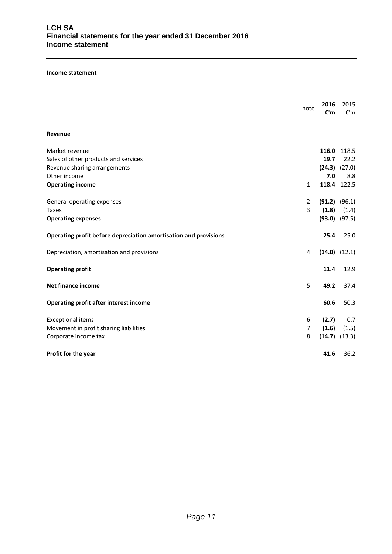### **Income statement**

|                                                                  | note           | 2016<br>€'m | 2015<br>€'m       |
|------------------------------------------------------------------|----------------|-------------|-------------------|
| Revenue                                                          |                |             |                   |
| Market revenue                                                   |                |             | 116.0 118.5       |
| Sales of other products and services                             |                | 19.7        | 22.2              |
| Revenue sharing arrangements                                     |                |             | $(24.3)$ $(27.0)$ |
| Other income                                                     |                | 7.0         | 8.8               |
| <b>Operating income</b>                                          | $\mathbf{1}$   |             | 118.4 122.5       |
|                                                                  |                |             |                   |
| General operating expenses                                       | $\overline{2}$ |             | $(91.2)$ $(96.1)$ |
| Taxes                                                            | 3              | (1.8)       | (1.4)             |
| <b>Operating expenses</b>                                        |                |             | $(93.0)$ $(97.5)$ |
| Operating profit before depreciation amortisation and provisions |                | 25.4        | 25.0              |
| Depreciation, amortisation and provisions                        | 4              |             | $(14.0)$ $(12.1)$ |
| <b>Operating profit</b>                                          |                | 11.4        | 12.9              |
| <b>Net finance income</b>                                        | 5              | 49.2        | 37.4              |
| <b>Operating profit after interest income</b>                    |                | 60.6        | 50.3              |
| <b>Exceptional items</b>                                         | 6              | (2.7)       | 0.7               |
| Movement in profit sharing liabilities                           | 7              | (1.6)       | (1.5)             |
| Corporate income tax                                             | 8              |             | $(14.7)$ $(13.3)$ |
| Profit for the year                                              |                | 41.6        | 36.2              |
|                                                                  |                |             |                   |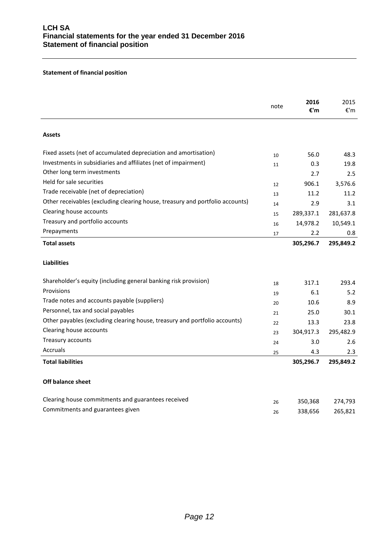# **Statement of financial position**

|                                                                               | note | 2016<br>€'m | 2015<br>$\varepsilon$ 'm |
|-------------------------------------------------------------------------------|------|-------------|--------------------------|
| <b>Assets</b>                                                                 |      |             |                          |
| Fixed assets (net of accumulated depreciation and amortisation)               | 10   | 56.0        | 48.3                     |
| Investments in subsidiaries and affiliates (net of impairment)                | 11   | 0.3         | 19.8                     |
| Other long term investments                                                   |      | 2.7         | 2.5                      |
| Held for sale securities                                                      | 12   | 906.1       | 3,576.6                  |
| Trade receivable (net of depreciation)                                        | 13   | 11.2        | 11.2                     |
| Other receivables (excluding clearing house, treasury and portfolio accounts) | 14   | 2.9         | 3.1                      |
| Clearing house accounts                                                       | 15   | 289,337.1   | 281,637.8                |
| Treasury and portfolio accounts                                               | 16   | 14,978.2    | 10,549.1                 |
| Prepayments                                                                   | 17   | 2.2         | 0.8                      |
| <b>Total assets</b>                                                           |      | 305,296.7   | 295,849.2                |
| <b>Liabilities</b>                                                            |      |             |                          |
| Shareholder's equity (including general banking risk provision)               | 18   | 317.1       | 293.4                    |
| Provisions                                                                    | 19   | 6.1         | 5.2                      |
| Trade notes and accounts payable (suppliers)                                  | 20   | 10.6        | 8.9                      |
| Personnel, tax and social payables                                            | 21   | 25.0        | 30.1                     |
| Other payables (excluding clearing house, treasury and portfolio accounts)    | 22   | 13.3        | 23.8                     |
| Clearing house accounts                                                       | 23   | 304,917.3   | 295,482.9                |
| Treasury accounts                                                             | 24   | 3.0         | 2.6                      |
| <b>Accruals</b>                                                               | 25   | 4.3         | 2.3                      |
| <b>Total liabilities</b>                                                      |      | 305,296.7   | 295,849.2                |
| Off balance sheet                                                             |      |             |                          |
| Clearing house commitments and guarantees received                            | 26   | 350,368     | 274,793                  |
| Commitments and guarantees given                                              | 26   | 338,656     | 265,821                  |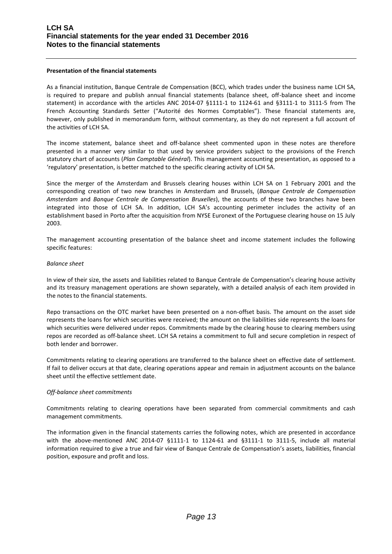# **Presentation of the financial statements**

As a financial institution, Banque Centrale de Compensation (BCC), which trades under the business name LCH SA, is required to prepare and publish annual financial statements (balance sheet, off-balance sheet and income statement) in accordance with the articles ANC 2014-07 §1111-1 to 1124-61 and §3111-1 to 3111-5 from The French Accounting Standards Setter ("Autorité des Normes Comptables"). These financial statements are, however, only published in memorandum form, without commentary, as they do not represent a full account of the activities of LCH SA.

The income statement, balance sheet and off-balance sheet commented upon in these notes are therefore presented in a manner very similar to that used by service providers subject to the provisions of the French statutory chart of accounts (*Plan Comptable Général*). This management accounting presentation, as opposed to a 'regulatory' presentation, is better matched to the specific clearing activity of LCH SA.

Since the merger of the Amsterdam and Brussels clearing houses within LCH SA on 1 February 2001 and the corresponding creation of two new branches in Amsterdam and Brussels, (*Banque Centrale de Compensation Amsterdam* and *Banque Centrale de Compensation Bruxelles*), the accounts of these two branches have been integrated into those of LCH SA. In addition, LCH SA's accounting perimeter includes the activity of an establishment based in Porto after the acquisition from NYSE Euronext of the Portuguese clearing house on 15 July 2003.

The management accounting presentation of the balance sheet and income statement includes the following specific features:

# *Balance sheet*

In view of their size, the assets and liabilities related to Banque Centrale de Compensation's clearing house activity and its treasury management operations are shown separately, with a detailed analysis of each item provided in the notes to the financial statements.

Repo transactions on the OTC market have been presented on a non-offset basis. The amount on the asset side represents the loans for which securities were received; the amount on the liabilities side represents the loans for which securities were delivered under repos. Commitments made by the clearing house to clearing members using repos are recorded as off-balance sheet. LCH SA retains a commitment to full and secure completion in respect of both lender and borrower.

Commitments relating to clearing operations are transferred to the balance sheet on effective date of settlement. If fail to deliver occurs at that date, clearing operations appear and remain in adjustment accounts on the balance sheet until the effective settlement date.

# *Off-balance sheet commitments*

Commitments relating to clearing operations have been separated from commercial commitments and cash management commitments.

The information given in the financial statements carries the following notes, which are presented in accordance with the above-mentioned ANC 2014-07 §1111-1 to 1124-61 and §3111-1 to 3111-5, include all material information required to give a true and fair view of Banque Centrale de Compensation's assets, liabilities, financial position, exposure and profit and loss.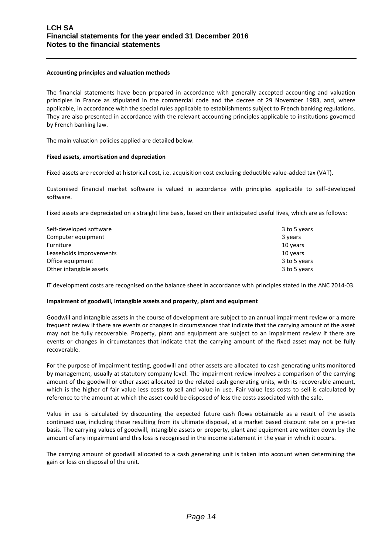### **Accounting principles and valuation methods**

The financial statements have been prepared in accordance with generally accepted accounting and valuation principles in France as stipulated in the commercial code and the decree of 29 November 1983, and, where applicable, in accordance with the special rules applicable to establishments subject to French banking regulations. They are also presented in accordance with the relevant accounting principles applicable to institutions governed by French banking law.

The main valuation policies applied are detailed below.

### **Fixed assets, amortisation and depreciation**

Fixed assets are recorded at historical cost, i.e. acquisition cost excluding deductible value-added tax (VAT).

Customised financial market software is valued in accordance with principles applicable to self-developed software.

Fixed assets are depreciated on a straight line basis, based on their anticipated useful lives, which are as follows:

| Self-developed software | 3 to 5 years |
|-------------------------|--------------|
| Computer equipment      | 3 years      |
| Furniture               | 10 years     |
| Leaseholds improvements | 10 years     |
| Office equipment        | 3 to 5 years |
| Other intangible assets | 3 to 5 years |

IT development costs are recognised on the balance sheet in accordance with principles stated in the ANC 2014-03.

### **Impairment of goodwill, intangible assets and property, plant and equipment**

Goodwill and intangible assets in the course of development are subject to an annual impairment review or a more frequent review if there are events or changes in circumstances that indicate that the carrying amount of the asset may not be fully recoverable. Property, plant and equipment are subject to an impairment review if there are events or changes in circumstances that indicate that the carrying amount of the fixed asset may not be fully recoverable.

For the purpose of impairment testing, goodwill and other assets are allocated to cash generating units monitored by management, usually at statutory company level. The impairment review involves a comparison of the carrying amount of the goodwill or other asset allocated to the related cash generating units, with its recoverable amount, which is the higher of fair value less costs to sell and value in use. Fair value less costs to sell is calculated by reference to the amount at which the asset could be disposed of less the costs associated with the sale.

Value in use is calculated by discounting the expected future cash flows obtainable as a result of the assets continued use, including those resulting from its ultimate disposal, at a market based discount rate on a pre-tax basis. The carrying values of goodwill, intangible assets or property, plant and equipment are written down by the amount of any impairment and this loss is recognised in the income statement in the year in which it occurs.

The carrying amount of goodwill allocated to a cash generating unit is taken into account when determining the gain or loss on disposal of the unit.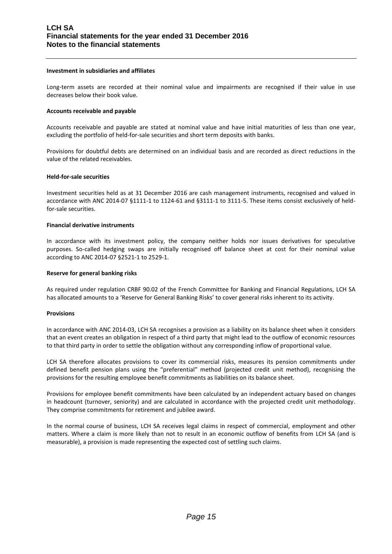#### **Investment in subsidiaries and affiliates**

Long-term assets are recorded at their nominal value and impairments are recognised if their value in use decreases below their book value.

### **Accounts receivable and payable**

Accounts receivable and payable are stated at nominal value and have initial maturities of less than one year, excluding the portfolio of held-for-sale securities and short term deposits with banks.

Provisions for doubtful debts are determined on an individual basis and are recorded as direct reductions in the value of the related receivables.

### **Held-for-sale securities**

Investment securities held as at 31 December 2016 are cash management instruments, recognised and valued in accordance with ANC 2014-07 §1111-1 to 1124-61 and §3111-1 to 3111-5. These items consist exclusively of heldfor-sale securities.

#### **Financial derivative instruments**

In accordance with its investment policy, the company neither holds nor issues derivatives for speculative purposes. So-called hedging swaps are initially recognised off balance sheet at cost for their nominal value according to ANC 2014-07 §2521-1 to 2529-1.

#### **Reserve for general banking risks**

As required under regulation CRBF 90.02 of the French Committee for Banking and Financial Regulations, LCH SA has allocated amounts to a 'Reserve for General Banking Risks' to cover general risks inherent to its activity.

### **Provisions**

In accordance with ANC 2014-03, LCH SA recognises a provision as a liability on its balance sheet when it considers that an event creates an obligation in respect of a third party that might lead to the outflow of economic resources to that third party in order to settle the obligation without any corresponding inflow of proportional value.

LCH SA therefore allocates provisions to cover its commercial risks, measures its pension commitments under defined benefit pension plans using the "preferential" method (projected credit unit method), recognising the provisions for the resulting employee benefit commitments as liabilities on its balance sheet.

Provisions for employee benefit commitments have been calculated by an independent actuary based on changes in headcount (turnover, seniority) and are calculated in accordance with the projected credit unit methodology. They comprise commitments for retirement and jubilee award.

In the normal course of business, LCH SA receives legal claims in respect of commercial, employment and other matters. Where a claim is more likely than not to result in an economic outflow of benefits from LCH SA (and is measurable), a provision is made representing the expected cost of settling such claims.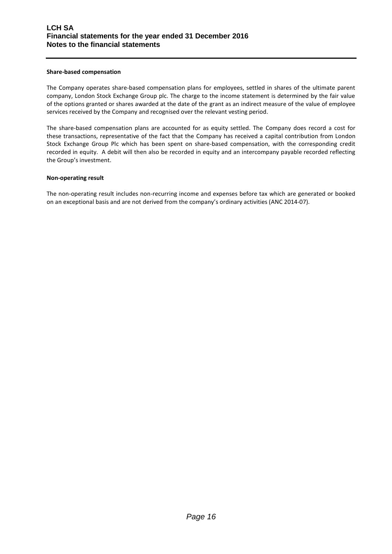### **Share-based compensation**

The Company operates share-based compensation plans for employees, settled in shares of the ultimate parent company, London Stock Exchange Group plc. The charge to the income statement is determined by the fair value of the options granted or shares awarded at the date of the grant as an indirect measure of the value of employee services received by the Company and recognised over the relevant vesting period.

The share-based compensation plans are accounted for as equity settled. The Company does record a cost for these transactions, representative of the fact that the Company has received a capital contribution from London Stock Exchange Group Plc which has been spent on share-based compensation, with the corresponding credit recorded in equity. A debit will then also be recorded in equity and an intercompany payable recorded reflecting the Group's investment.

### **Non-operating result**

The non-operating result includes non-recurring income and expenses before tax which are generated or booked on an exceptional basis and are not derived from the company's ordinary activities (ANC 2014-07).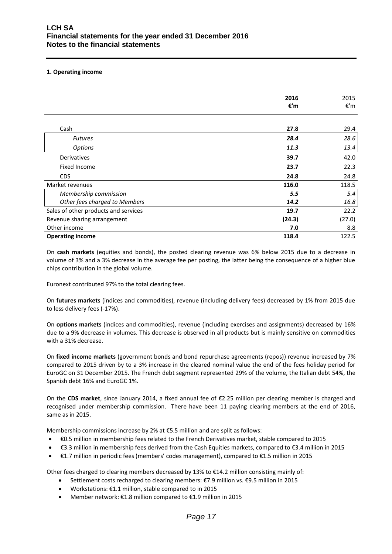# **1. Operating income**

|                                      | 2016<br>€'m | 2015<br>€'m |
|--------------------------------------|-------------|-------------|
|                                      |             |             |
| Cash                                 | 27.8        | 29.4        |
| <b>Futures</b>                       | 28.4        | 28.6        |
| <b>Options</b>                       | 11.3        | 13.4        |
| Derivatives                          | 39.7        | 42.0        |
| Fixed Income                         | 23.7        | 22.3        |
| <b>CDS</b>                           | 24.8        | 24.8        |
| Market revenues                      | 116.0       | 118.5       |
| Membership commission                | 5.5         | 5.4         |
| Other fees charged to Members        | 14.2        | 16.8        |
| Sales of other products and services | 19.7        | 22.2        |
| Revenue sharing arrangement          | (24.3)      | (27.0)      |
| Other income                         | 7.0         | 8.8         |
| <b>Operating income</b>              | 118.4       | 122.5       |

On **cash markets** (equities and bonds), the posted clearing revenue was 6% below 2015 due to a decrease in volume of 3% and a 3% decrease in the average fee per posting, the latter being the consequence of a higher blue chips contribution in the global volume.

Euronext contributed 97% to the total clearing fees.

On **futures markets** (indices and commodities), revenue (including delivery fees) decreased by 1% from 2015 due to less delivery fees (-17%).

On **options markets** (indices and commodities), revenue (including exercises and assignments) decreased by 16% due to a 9% decrease in volumes. This decrease is observed in all products but is mainly sensitive on commodities with a 31% decrease.

On **fixed income markets** (government bonds and bond repurchase agreements (repos)) revenue increased by 7% compared to 2015 driven by to a 3% increase in the cleared nominal value the end of the fees holiday period for EuroGC on 31 December 2015. The French debt segment represented 29% of the volume, the Italian debt 54%, the Spanish debt 16% and EuroGC 1%.

On the **CDS market**, since January 2014, a fixed annual fee of €2.25 million per clearing member is charged and recognised under membership commission. There have been 11 paying clearing members at the end of 2016, same as in 2015.

Membership commissions increase by 2% at €5.5 million and are split as follows:

- €0.5 million in membership fees related to the French Derivatives market, stable compared to 2015
- €3.3 million in membership fees derived from the Cash Equities markets, compared to €3.4 million in 2015
- €1.7 million in periodic fees (members' codes management), compared to €1.5 million in 2015

Other fees charged to clearing members decreased by 13% to €14.2 million consisting mainly of:

- Settlement costs recharged to clearing members: €7.9 million vs. €9.5 million in 2015
- Workstations: €1.1 million, stable compared to in 2015
- Member network: €1.8 million compared to €1.9 million in 2015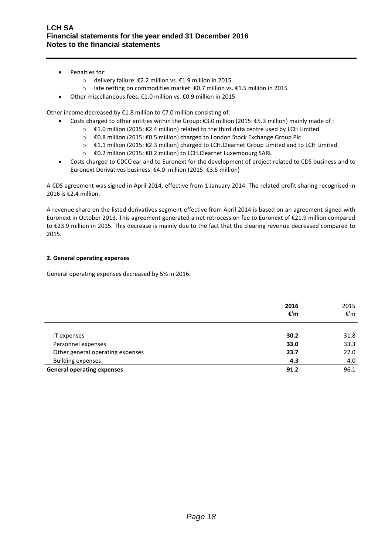- Penalties for:
	- o delivery failure: €2.2 million vs. €1.9 million in 2015
	- o late netting on commodities market: €0.7 million vs. €1.5 million in 2015
- Other miscellaneous fees: €1.0 million vs. €0.9 million in 2015

Other income decreased by €1.8 million to €7.0 million consisting of:

- Costs charged to other entities within the Group: €3.0 million (2015: €5.3 million) mainly made of :
	- o €1.0 million (2015: €2.4 million) related to the third data centre used by LCH Limited
	- o €0.8 million (2015: €0.5 million) charged to London Stock Exchange Group Plc
	- o €1.1 million (2015: €2.3 million) charged to LCH.Clearnet Group Limited and to LCH Limited
	- o €0.2 million (2015: €0.2 million) to LCH.Clearnet Luxembourg SARL
- Costs charged to CDCClear and to Euronext for the development of project related to CDS business and to Euronext Derivatives business: €4.0 million (2015: €3.5 million)

A CDS agreement was signed in April 2014, effective from 1 January 2014. The related profit sharing recognised in 2016 is €2.4 million.

A revenue share on the listed derivatives segment effective from April 2014 is based on an agreement signed with Euronext in October 2013. This agreement generated a net retrocession fee to Euronext of €21.9 million compared to €23.9 million in 2015. This decrease is mainly due to the fact that the clearing revenue decreased compared to 2015.

# **2. General operating expenses**

General operating expenses decreased by 5% in 2016.

|                                   | 2016<br>€'m | 2015<br>€'m |
|-----------------------------------|-------------|-------------|
|                                   |             |             |
| IT expenses                       | 30.2        | 31.8        |
| Personnel expenses                | 33.0        | 33.3        |
| Other general operating expenses  | 23.7        | 27.0        |
| <b>Building expenses</b>          | 4.3         | 4.0         |
| <b>General operating expenses</b> | 91.2        | 96.1        |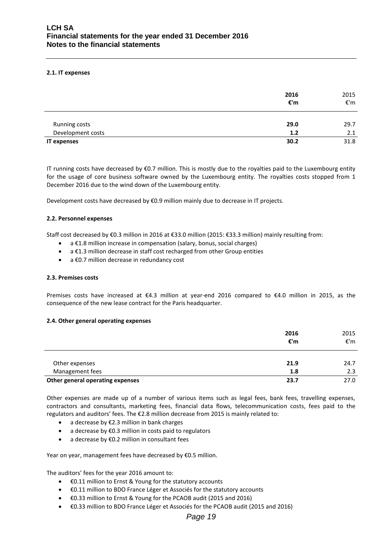### **2.1. IT expenses**

|                    | 2016<br>€'m | 2015<br>€'m |
|--------------------|-------------|-------------|
| Running costs      | 29.0        | 29.7        |
| Development costs  | 1.2         | 2.1         |
| <b>IT expenses</b> | 30.2        | 31.8        |

IT running costs have decreased by €0.7 million. This is mostly due to the royalties paid to the Luxembourg entity for the usage of core business software owned by the Luxembourg entity. The royalties costs stopped from 1 December 2016 due to the wind down of the Luxembourg entity.

Development costs have decreased by €0.9 million mainly due to decrease in IT projects.

### **2.2. Personnel expenses**

Staff cost decreased by €0.3 million in 2016 at €33.0 million (2015: €33.3 million) mainly resulting from:

- a €1.8 million increase in compensation (salary, bonus, social charges)
- a €1.3 million decrease in staff cost recharged from other Group entities
- a €0.7 million decrease in redundancy cost

### **2.3. Premises costs**

Premises costs have increased at €4.3 million at year-end 2016 compared to €4.0 million in 2015, as the consequence of the new lease contract for the Paris headquarter.

### **2.4. Other general operating expenses**

|                                  | 2016<br>€'m | 2015<br>€'m |
|----------------------------------|-------------|-------------|
| Other expenses                   | 21.9        | 24.7        |
| Management fees                  | 1.8         | 2.3         |
| Other general operating expenses | 23.7        | 27.0        |

Other expenses are made up of a number of various items such as legal fees, bank fees, travelling expenses, contractors and consultants, marketing fees, financial data flows, telecommunication costs, fees paid to the regulators and auditors' fees. The €2.8 million decrease from 2015 is mainly related to:

- a decrease by €2.3 million in bank charges
- a decrease by €0.3 million in costs paid to regulators
- a decrease by €0.2 million in consultant fees

Year on year, management fees have decreased by €0.5 million.

The auditors' fees for the year 2016 amount to:

- €0.11 million to Ernst & Young for the statutory accounts
- €0.11 million to BDO France Léger et Associés for the statutory accounts
- €0.33 million to Ernst & Young for the PCAOB audit (2015 and 2016)
- €0.33 million to BDO France Léger et Associés for the PCAOB audit (2015 and 2016)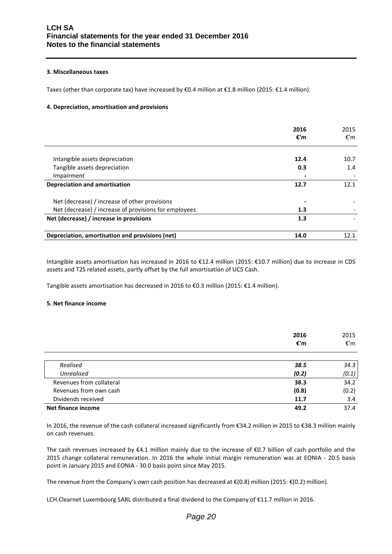### **3. Miscellaneous taxes**

Taxes (other than corporate tax) have increased by €0.4 million at €1.8 million (2015: €1.4 million).

# **4. Depreciation, amortisation and provisions**

|                                                       | 2016<br>€'m | 2015<br>€'m |
|-------------------------------------------------------|-------------|-------------|
| Intangible assets depreciation                        | 12.4        | 10.7        |
| Tangible assets depreciation                          | 0.3         | 1.4         |
| Impairment                                            |             |             |
| <b>Depreciation and amortisation</b>                  | 12.7        | 12.1        |
| Net (decrease) / increase of other provisions         |             |             |
| Net (decrease) / increase of provisions for employees | 1.3         |             |
| Net (decrease) / increase in provisions               | 1.3         |             |
| Depreciation, amortisation and provisions (net)       | 14.0        | 12.1        |

Intangible assets amortisation has increased in 2016 to €12.4 million (2015: €10.7 million) due to increase in CDS assets and T2S related assets, partly offset by the full amortisation of UCS Cash.

Tangible assets amortisation has decreased in 2016 to €0.3 million (2015: €1.4 million).

### **5. Net finance income**

|                          | 2016<br>€'m | 2015<br>€'m |
|--------------------------|-------------|-------------|
|                          |             |             |
| Realised                 | 38.5        | 34.3        |
| <b>Unrealised</b>        | (0.2)       | (0.1)       |
| Revenues from collateral | 38.3        | 34.2        |
| Revenues from own cash   | (0.8)       | (0.2)       |
| Dividends received       | 11.7        | 3.4         |
| Net finance income       | 49.2        | 37.4        |

In 2016, the revenue of the cash collateral increased significantly from €34.2 million in 2015 to €38.3 million mainly on cash revenues.

The cash revenues increased by €4.1 million mainly due to the increase of €0.7 billion of cash portfolio and the 2015 change collateral remuneration. In 2016 the whole initial margin remuneration was at EONIA - 20.5 basis point in January 2015 and EONIA - 30.0 basis point since May 2015.

The revenue from the Company's own cash position has decreased at €(0.8) million (2015: €(0.2) million).

LCH.Clearnet Luxembourg SARL distributed a final dividend to the Company of €11.7 million in 2016.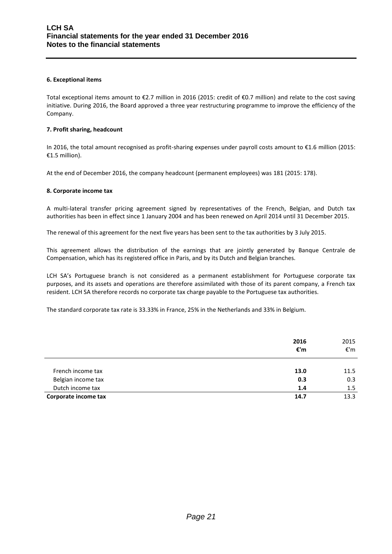# **6. Exceptional items**

Total exceptional items amount to €2.7 million in 2016 (2015: credit of €0.7 million) and relate to the cost saving initiative. During 2016, the Board approved a three year restructuring programme to improve the efficiency of the Company.

### **7. Profit sharing, headcount**

In 2016, the total amount recognised as profit-sharing expenses under payroll costs amount to €1.6 million (2015: €1.5 million).

At the end of December 2016, the company headcount (permanent employees) was 181 (2015: 178).

### **8. Corporate income tax**

A multi-lateral transfer pricing agreement signed by representatives of the French, Belgian, and Dutch tax authorities has been in effect since 1 January 2004 and has been renewed on April 2014 until 31 December 2015.

The renewal of this agreement for the next five years has been sent to the tax authorities by 3 July 2015.

This agreement allows the distribution of the earnings that are jointly generated by Banque Centrale de Compensation, which has its registered office in Paris, and by its Dutch and Belgian branches.

LCH SA's Portuguese branch is not considered as a permanent establishment for Portuguese corporate tax purposes, and its assets and operations are therefore assimilated with those of its parent company, a French tax resident. LCH SA therefore records no corporate tax charge payable to the Portuguese tax authorities.

The standard corporate tax rate is 33.33% in France, 25% in the Netherlands and 33% in Belgium.

|                      | 2016<br>€'m | 2015<br>€'m |
|----------------------|-------------|-------------|
| French income tax    | 13.0        | 11.5        |
| Belgian income tax   | 0.3         | 0.3         |
| Dutch income tax     | 1.4         | 1.5         |
| Corporate income tax | 14.7        | 13.3        |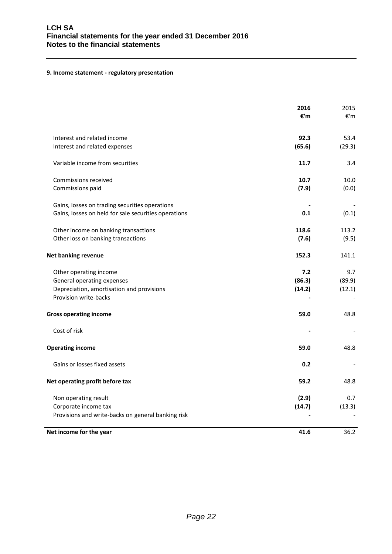# **9. Income statement - regulatory presentation**

|                                                      | 2016<br>€'m | 2015<br>€'m |
|------------------------------------------------------|-------------|-------------|
| Interest and related income                          | 92.3        | 53.4        |
| Interest and related expenses                        | (65.6)      | (29.3)      |
| Variable income from securities                      | 11.7        | 3.4         |
| Commissions received                                 | 10.7        | 10.0        |
| Commissions paid                                     | (7.9)       | (0.0)       |
| Gains, losses on trading securities operations       |             |             |
| Gains, losses on held for sale securities operations | 0.1         | (0.1)       |
| Other income on banking transactions                 | 118.6       | 113.2       |
| Other loss on banking transactions                   | (7.6)       | (9.5)       |
| <b>Net banking revenue</b>                           | 152.3       | 141.1       |
| Other operating income                               | 7.2         | 9.7         |
| General operating expenses                           | (86.3)      | (89.9)      |
| Depreciation, amortisation and provisions            | (14.2)      | (12.1)      |
| Provision write-backs                                |             |             |
| <b>Gross operating income</b>                        | 59.0        | 48.8        |
| Cost of risk                                         |             |             |
| <b>Operating income</b>                              | 59.0        | 48.8        |
| Gains or losses fixed assets                         | 0.2         |             |
| Net operating profit before tax                      | 59.2        | 48.8        |
| Non operating result                                 | (2.9)       | 0.7         |
| Corporate income tax                                 | (14.7)      | (13.3)      |
| Provisions and write-backs on general banking risk   |             |             |
| Net income for the year                              | 41.6        | 36.2        |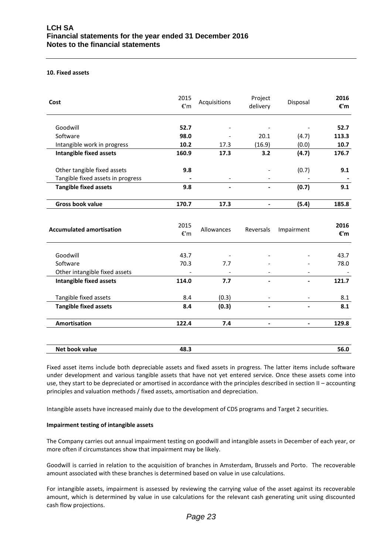#### **10. Fixed assets**

| Cost                              | 2015<br>$\varepsilon$ 'm | Acquisitions | Project<br>delivery      | Disposal                 | 2016<br>€'m |
|-----------------------------------|--------------------------|--------------|--------------------------|--------------------------|-------------|
| Goodwill                          | 52.7                     |              |                          |                          | 52.7        |
| Software                          | 98.0                     |              | 20.1                     | (4.7)                    | 113.3       |
| Intangible work in progress       | 10.2                     | 17.3         | (16.9)                   | (0.0)                    | 10.7        |
| <b>Intangible fixed assets</b>    | 160.9                    | 17.3         | 3.2                      | (4.7)                    | 176.7       |
| Other tangible fixed assets       | 9.8                      |              |                          | (0.7)                    | 9.1         |
| Tangible fixed assets in progress |                          |              |                          |                          |             |
| <b>Tangible fixed assets</b>      | 9.8                      |              |                          | (0.7)                    | 9.1         |
| <b>Gross book value</b>           | 170.7                    | 17.3         | $\overline{\phantom{a}}$ | (5.4)                    | 185.8       |
| <b>Accumulated amortisation</b>   | 2015<br>$\varepsilon$ 'm | Allowances   | Reversals                | Impairment               | 2016<br>€'m |
| Goodwill                          | 43.7                     |              |                          |                          | 43.7        |
| Software                          | 70.3                     | 7.7          |                          |                          | 78.0        |
| Other intangible fixed assets     |                          |              |                          |                          |             |
| <b>Intangible fixed assets</b>    | 114.0                    | 7.7          |                          |                          | 121.7       |
| Tangible fixed assets             | 8.4                      | (0.3)        | $\overline{\phantom{a}}$ |                          | 8.1         |
| <b>Tangible fixed assets</b>      | 8.4                      | (0.3)        |                          |                          | 8.1         |
| <b>Amortisation</b>               | 122.4                    | 7.4          | $\blacksquare$           | $\overline{\phantom{0}}$ | 129.8       |
| Net book value                    | 48.3                     |              |                          |                          | 56.0        |

Fixed asset items include both depreciable assets and fixed assets in progress. The latter items include software under development and various tangible assets that have not yet entered service. Once these assets come into use, they start to be depreciated or amortised in accordance with the principles described in section II – accounting principles and valuation methods / fixed assets, amortisation and depreciation.

Intangible assets have increased mainly due to the development of CDS programs and Target 2 securities.

### **Impairment testing of intangible assets**

The Company carries out annual impairment testing on goodwill and intangible assets in December of each year, or more often if circumstances show that impairment may be likely.

Goodwill is carried in relation to the acquisition of branches in Amsterdam, Brussels and Porto. The recoverable amount associated with these branches is determined based on value in use calculations.

For intangible assets, impairment is assessed by reviewing the carrying value of the asset against its recoverable amount, which is determined by value in use calculations for the relevant cash generating unit using discounted cash flow projections.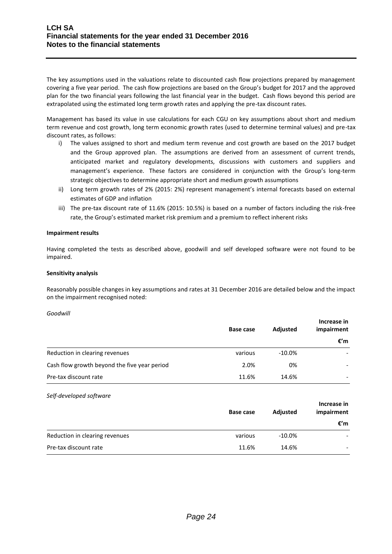The key assumptions used in the valuations relate to discounted cash flow projections prepared by management covering a five year period. The cash flow projections are based on the Group's budget for 2017 and the approved plan for the two financial years following the last financial year in the budget. Cash flows beyond this period are extrapolated using the estimated long term growth rates and applying the pre-tax discount rates.

Management has based its value in use calculations for each CGU on key assumptions about short and medium term revenue and cost growth, long term economic growth rates (used to determine terminal values) and pre-tax discount rates, as follows:

- i) The values assigned to short and medium term revenue and cost growth are based on the 2017 budget and the Group approved plan. The assumptions are derived from an assessment of current trends, anticipated market and regulatory developments, discussions with customers and suppliers and management's experience. These factors are considered in conjunction with the Group's long-term strategic objectives to determine appropriate short and medium growth assumptions
- ii) Long term growth rates of 2% (2015: 2%) represent management's internal forecasts based on external estimates of GDP and inflation
- iii) The pre-tax discount rate of 11.6% (2015: 10.5%) is based on a number of factors including the risk-free rate, the Group's estimated market risk premium and a premium to reflect inherent risks

# **Impairment results**

Having completed the tests as described above, goodwill and self developed software were not found to be impaired.

### **Sensitivity analysis**

Reasonably possible changes in key assumptions and rates at 31 December 2016 are detailed below and the impact on the impairment recognised noted:

*Goodwill*

|                                              | <b>Base case</b> | <b>Adjusted</b> | Increase in<br>impairment |
|----------------------------------------------|------------------|-----------------|---------------------------|
|                                              |                  |                 | €'m                       |
| Reduction in clearing revenues               | various          | $-10.0\%$       |                           |
| Cash flow growth beyond the five year period | 2.0%             | 0%              |                           |
| Pre-tax discount rate                        | 11.6%            | 14.6%           |                           |

### *Self-developed software*

|                                | Base case | Adjusted  | Increase in<br>impairment |
|--------------------------------|-----------|-----------|---------------------------|
|                                |           |           | €′m                       |
| Reduction in clearing revenues | various   | $-10.0\%$ |                           |
| Pre-tax discount rate          | 11.6%     | 14.6%     |                           |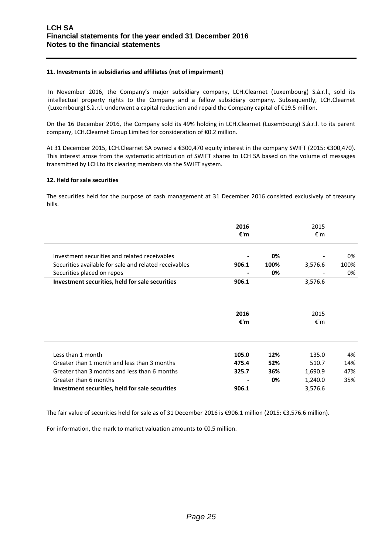# **11. Investments in subsidiaries and affiliates (net of impairment)**

In November 2016, the Company's major subsidiary company, LCH.Clearnet (Luxembourg) S.à.r.l., sold its intellectual property rights to the Company and a fellow subsidiary company. Subsequently, LCH.Clearnet (Luxembourg) S.à.r.l. underwent a capital reduction and repaid the Company capital of €19.5 million.

On the 16 December 2016, the Company sold its 49% holding in LCH.Clearnet (Luxembourg) S.à.r.l. to its parent company, LCH.Clearnet Group Limited for consideration of €0.2 million.

At 31 December 2015, LCH.Clearnet SA owned a €300,470 equity interest in the company SWIFT (2015: €300,470). This interest arose from the systematic attribution of SWIFT shares to LCH SA based on the volume of messages transmitted by LCH.to its clearing members via the SWIFT system.

### **12. Held for sale securities**

The securities held for the purpose of cash management at 31 December 2016 consisted exclusively of treasury bills.

|                                                       | 2016<br>€'m |      | 2015<br>€'m |      |
|-------------------------------------------------------|-------------|------|-------------|------|
| Investment securities and related receivables         |             | 0%   |             | 0%   |
| Securities available for sale and related receivables | 906.1       | 100% | 3,576.6     | 100% |
| Securities placed on repos                            |             | 0%   |             | 0%   |
| Investment securities, held for sale securities       | 906.1       |      | 3,576.6     |      |
|                                                       | 2016<br>€'m |      | 2015<br>€'m |      |
| Less than 1 month                                     | 105.0       | 12%  | 135.0       | 4%   |
| Greater than 1 month and less than 3 months           | 475.4       | 52%  | 510.7       | 14%  |
| Greater than 3 months and less than 6 months          | 325.7       | 36%  | 1,690.9     | 47%  |
| Greater than 6 months                                 |             | 0%   | 1,240.0     | 35%  |
| Investment securities, held for sale securities       | 906.1       |      | 3,576.6     |      |

The fair value of securities held for sale as of 31 December 2016 is €906.1 million (2015: €3,576.6 million).

For information, the mark to market valuation amounts to €0.5 million.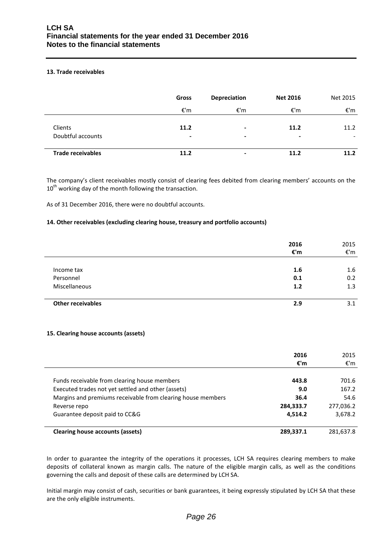# **13. Trade receivables**

|                              | Gross     | <b>Depreciation</b> | <b>Net 2016</b>        | Net 2015                         |
|------------------------------|-----------|---------------------|------------------------|----------------------------------|
|                              | €'m       | €'m                 | €'m                    | €'m                              |
| Clients<br>Doubtful accounts | 11.2<br>٠ | ۰<br>$\,$           | 11.2<br>$\blacksquare$ | 11.2<br>$\overline{\phantom{0}}$ |
| <b>Trade receivables</b>     | 11.2      |                     | 11.2                   | 11.2                             |

The company's client receivables mostly consist of clearing fees debited from clearing members' accounts on the  $10^{th}$  working day of the month following the transaction.

As of 31 December 2016, there were no doubtful accounts.

### **14. Other receivables (excluding clearing house, treasury and portfolio accounts)**

|                          | 2016<br>$\varepsilon$ 'm | 2015<br>$\varepsilon$ 'm |
|--------------------------|--------------------------|--------------------------|
|                          |                          |                          |
| Income tax               | 1.6                      | 1.6                      |
| Personnel                | 0.1                      | 0.2                      |
| Miscellaneous            | 1.2                      | 1.3                      |
| <b>Other receivables</b> | 2.9                      | 3.1                      |

### **15. Clearing house accounts (assets)**

|                                                             | 2016<br>€'m | 2015<br>€'m |
|-------------------------------------------------------------|-------------|-------------|
|                                                             |             |             |
| Funds receivable from clearing house members                | 443.8       | 701.6       |
| Executed trades not yet settled and other (assets)          | 9.0         | 167.2       |
| Margins and premiums receivable from clearing house members | 36.4        | 54.6        |
| Reverse repo                                                | 284,333.7   | 277,036.2   |
| Guarantee deposit paid to CC&G                              | 4,514.2     | 3,678.2     |
| Clearing house accounts (assets)                            | 289,337.1   | 281,637.8   |

In order to guarantee the integrity of the operations it processes, LCH SA requires clearing members to make deposits of collateral known as margin calls. The nature of the eligible margin calls, as well as the conditions governing the calls and deposit of these calls are determined by LCH SA.

Initial margin may consist of cash, securities or bank guarantees, it being expressly stipulated by LCH SA that these are the only eligible instruments.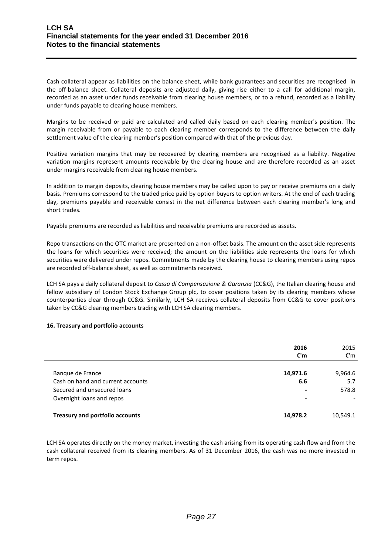Cash collateral appear as liabilities on the balance sheet, while bank guarantees and securities are recognised in the off-balance sheet. Collateral deposits are adjusted daily, giving rise either to a call for additional margin, recorded as an asset under funds receivable from clearing house members, or to a refund, recorded as a liability under funds payable to clearing house members.

Margins to be received or paid are calculated and called daily based on each clearing member's position. The margin receivable from or payable to each clearing member corresponds to the difference between the daily settlement value of the clearing member's position compared with that of the previous day.

Positive variation margins that may be recovered by clearing members are recognised as a liability. Negative variation margins represent amounts receivable by the clearing house and are therefore recorded as an asset under margins receivable from clearing house members.

In addition to margin deposits, clearing house members may be called upon to pay or receive premiums on a daily basis. Premiums correspond to the traded price paid by option buyers to option writers. At the end of each trading day, premiums payable and receivable consist in the net difference between each clearing member's long and short trades.

Payable premiums are recorded as liabilities and receivable premiums are recorded as assets.

Repo transactions on the OTC market are presented on a non-offset basis. The amount on the asset side represents the loans for which securities were received; the amount on the liabilities side represents the loans for which securities were delivered under repos. Commitments made by the clearing house to clearing members using repos are recorded off-balance sheet, as well as commitments received.

LCH SA pays a daily collateral deposit to *Cassa di Compensazione & Garanzia* (CC&G), the Italian clearing house and fellow subsidiary of London Stock Exchange Group plc, to cover positions taken by its clearing members whose counterparties clear through CC&G. Similarly, LCH SA receives collateral deposits from CC&G to cover positions taken by CC&G clearing members trading with LCH SA clearing members.

# **16. Treasury and portfolio accounts**

|                                        | 2016<br>€'m | 2015<br>€'m |
|----------------------------------------|-------------|-------------|
|                                        |             |             |
| Banque de France                       | 14,971.6    | 9,964.6     |
| Cash on hand and current accounts      | 6.6         | 5.7         |
| Secured and unsecured loans            |             | 578.8       |
| Overnight loans and repos              |             |             |
|                                        |             |             |
| <b>Treasury and portfolio accounts</b> | 14,978.2    | 10,549.1    |

LCH SA operates directly on the money market, investing the cash arising from its operating cash flow and from the cash collateral received from its clearing members. As of 31 December 2016, the cash was no more invested in term repos.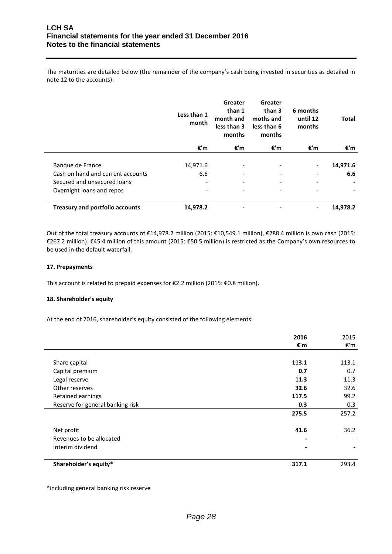The maturities are detailed below (the remainder of the company's cash being invested in securities as detailed in note 12 to the accounts):

|                                        | Less than 1<br>month     | Greater<br>than 1<br>month and<br>less than 3<br>months | Greater<br>than 3<br>moths and<br>less than 6<br>months | 6 months<br>until 12<br>months | <b>Total</b> |
|----------------------------------------|--------------------------|---------------------------------------------------------|---------------------------------------------------------|--------------------------------|--------------|
|                                        | €'m                      | €'m                                                     | €'m                                                     | €'m                            | €'m          |
|                                        |                          |                                                         |                                                         |                                |              |
| Banque de France                       | 14,971.6                 | $\overline{\phantom{a}}$                                | $\overline{a}$                                          | $\overline{\phantom{a}}$       | 14,971.6     |
| Cash on hand and current accounts      | 6.6                      | $\overline{\phantom{a}}$                                | $\overline{a}$                                          | $\overline{\phantom{a}}$       | 6.6          |
| Secured and unsecured loans            | $\overline{\phantom{a}}$ | $\overline{\phantom{a}}$                                | $\overline{\phantom{0}}$                                |                                |              |
| Overnight loans and repos              | $\overline{\phantom{a}}$ | $\overline{\phantom{a}}$                                | $\overline{\phantom{a}}$                                |                                |              |
| <b>Treasury and portfolio accounts</b> | 14,978.2                 | -                                                       |                                                         |                                | 14,978.2     |

Out of the total treasury accounts of €14,978.2 million (2015: €10,549.1 million), €288.4 million is own cash (2015: €267.2 million). €45.4 million of this amount (2015: €50.5 million) is restricted as the Company's own resources to be used in the default waterfall.

# **17. Prepayments**

This account is related to prepaid expenses for €2.2 million (2015: €0.8 million).

# **18. Shareholder's equity**

At the end of 2016, shareholder's equity consisted of the following elements:

|                                  | 2016<br>€'m              | 2015<br>€'m |
|----------------------------------|--------------------------|-------------|
|                                  |                          |             |
| Share capital                    | 113.1                    | 113.1       |
| Capital premium                  | 0.7                      | 0.7         |
| Legal reserve                    | 11.3                     | 11.3        |
| Other reserves                   | 32.6                     | 32.6        |
| Retained earnings                | 117.5                    | 99.2        |
| Reserve for general banking risk | 0.3                      | 0.3         |
|                                  | 275.5                    | 257.2       |
| Net profit                       | 41.6                     | 36.2        |
| Revenues to be allocated         | $\overline{\phantom{a}}$ |             |
| Interim dividend                 | $\blacksquare$           |             |
| Shareholder's equity*            | 317.1                    | 293.4       |

\*including general banking risk reserve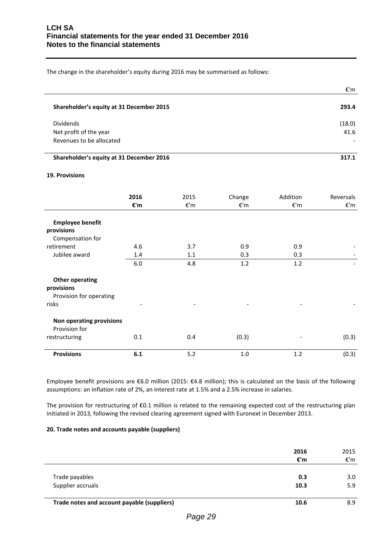The change in the shareholder's equity during 2016 may be summarised as follows:

|                                                                        | €'m            |
|------------------------------------------------------------------------|----------------|
| Shareholder's equity at 31 December 2015                               | 293.4          |
| <b>Dividends</b><br>Net profit of the year<br>Revenues to be allocated | (18.0)<br>41.6 |

# **Shareholder's equity at 31 December 2016 317.1**

### **19. Provisions**

|                                           | 2016                     | 2015 | Change | Addition | Reversals |
|-------------------------------------------|--------------------------|------|--------|----------|-----------|
|                                           | €'m                      | €'m  | €'m    | €'m      | €'m       |
| <b>Employee benefit</b>                   |                          |      |        |          |           |
| provisions                                |                          |      |        |          |           |
| Compensation for                          |                          |      |        |          |           |
| retirement                                | 4.6                      | 3.7  | 0.9    | 0.9      |           |
| Jubilee award                             | 1.4                      | 1.1  | 0.3    | 0.3      |           |
|                                           | 6.0                      | 4.8  | 1.2    | 1.2      |           |
| <b>Other operating</b>                    |                          |      |        |          |           |
| provisions                                |                          |      |        |          |           |
| Provision for operating                   |                          |      |        |          |           |
| risks                                     | $\overline{\phantom{0}}$ |      |        |          |           |
| Non operating provisions<br>Provision for |                          |      |        |          |           |
| restructuring                             | 0.1                      | 0.4  | (0.3)  |          | (0.3)     |
| <b>Provisions</b>                         | 6.1                      | 5.2  | 1.0    | 1.2      | (0.3)     |

Employee benefit provisions are €6.0 million (2015: €4.8 million); this is calculated on the basis of the following assumptions: an inflation rate of 2%, an interest rate at 1.5% and a 2.5% increase in salaries.

The provision for restructuring of €0.1 million is related to the remaining expected cost of the restructuring plan initiated in 2013, following the revised clearing agreement signed with Euronext in December 2013.

# **20. Trade notes and accounts payable (suppliers)**

|                                             | 2016<br>€'m | 2015<br>€'m |
|---------------------------------------------|-------------|-------------|
| Trade payables<br>Supplier accruals         | 0.3<br>10.3 | 3.0<br>5.9  |
| Trade notes and account payable (suppliers) | 10.6        | 8.9         |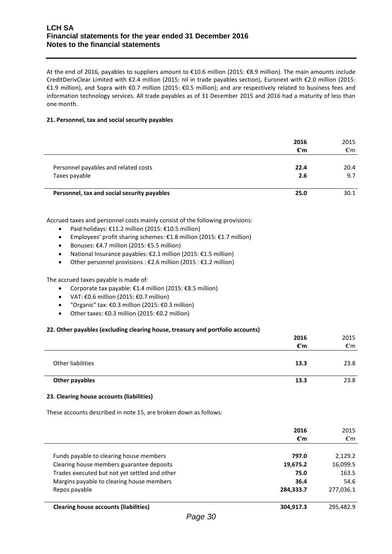# **LCH SA Financial statements for the year ended 31 December 2016 Notes to the financial statements**

At the end of 2016, payables to suppliers amount to €10.6 million (2015: €8.9 million). The main amounts include CreditDerivClear Limited with €2.4 million (2015: nil in trade payables section), Euronext with €2.0 million (2015: €1.9 million), and Sopra with €0.7 million (2015: €0.5 million); and are respectively related to business fees and information technology services. All trade payables as of 31 December 2015 and 2016 had a maturity of less than one month.

# **21. Personnel, tax and social security payables**

|                                             | 2016<br>€'m | 2015<br>€'m |
|---------------------------------------------|-------------|-------------|
| Personnel payables and related costs        | 22.4        | 20.4        |
| Taxes payable                               | 2.6         | 9.7         |
| Personnel, tax and social security payables | 25.0        | 30.1        |

Accrued taxes and personnel costs mainly consist of the following provisions:

- $\bullet$  Paid holidays: €11.2 million (2015: €10.5 million)
- Employees' profit sharing schemes: €1.8 million (2015: €1.7 million)
- **•** Bonuses:  $€4.7$  million (2015:  $€5.5$  million)
- National Insurance payables: €2.1 million (2015: €1.5 million)
- Other personnel provisions : €2.6 million (2015 : €1.2 million)

The accrued taxes payable is made of:

- Corporate tax payable:  $£1.4$  million (2015:  $£8.5$  million)
- $\bullet$  VAT: €0.6 million (2015: €0.7 million)
- "Organic" tax: €0.3 million (2015: €0.3 million)
- Other taxes:  $€0.3$  million (2015:  $€0.2$  million)

# **22. Other payables (excluding clearing house, treasury and portfolio accounts)**

|                   | 2016<br>€'m | 2015<br>€'m |
|-------------------|-------------|-------------|
| Other liabilities | 13.3        | 23.8        |
| Other payables    | 13.3        | 23.8        |

**2016**

2015

# **23. Clearing house accounts (liabilities)**

These accounts described in note 15, are broken down as follows:

|                                               | 2016<br>€'m | 2015<br>€'m |
|-----------------------------------------------|-------------|-------------|
| Funds payable to clearing house members       | 797.0       | 2,129.2     |
| Clearing house members guarantee deposits     | 19,675.2    | 16,099.5    |
| Trades executed but not yet settled and other | 75.0        | 163.5       |
| Margins payable to clearing house members     | 36.4        | 54.6        |
| Repos payable                                 | 284,333.7   | 277,036.1   |
| <b>Clearing house accounts (liabilities)</b>  | 304,917.3   | 295,482.9   |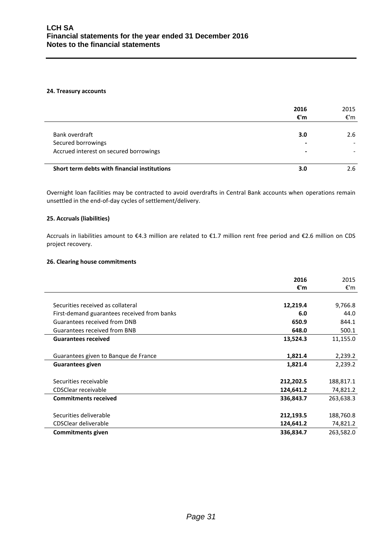### **24. Treasury accounts**

|                                              | 2016<br>€'m              | 2015<br>€'m |
|----------------------------------------------|--------------------------|-------------|
|                                              |                          |             |
| Bank overdraft                               | 3.0                      | 2.6         |
| Secured borrowings                           | -                        |             |
| Accrued interest on secured borrowings       | $\overline{\phantom{a}}$ |             |
| Short term debts with financial institutions | 3.0                      | 2.6         |

Overnight loan facilities may be contracted to avoid overdrafts in Central Bank accounts when operations remain unsettled in the end-of-day cycles of settlement/delivery.

# **25. Accruals (liabilities)**

Accruals in liabilities amount to €4.3 million are related to €1.7 million rent free period and €2.6 million on CDS project recovery.

# **26. Clearing house commitments**

|                                             | 2016      | 2015      |
|---------------------------------------------|-----------|-----------|
|                                             | €'m       | €'m       |
|                                             |           |           |
| Securities received as collateral           | 12,219.4  | 9,766.8   |
| First-demand guarantees received from banks | 6.0       | 44.0      |
| Guarantees received from DNB                | 650.9     | 844.1     |
| Guarantees received from BNB                | 648.0     | 500.1     |
| <b>Guarantees received</b>                  | 13,524.3  | 11,155.0  |
|                                             |           |           |
| Guarantees given to Banque de France        | 1,821.4   | 2,239.2   |
| <b>Guarantees given</b>                     | 1,821.4   | 2,239.2   |
|                                             |           |           |
| Securities receivable                       | 212,202.5 | 188,817.1 |
| CDSClear receivable                         | 124,641.2 | 74,821.2  |
| <b>Commitments received</b>                 | 336,843.7 | 263,638.3 |
|                                             |           |           |
| Securities deliverable                      | 212,193.5 | 188,760.8 |
| CDSClear deliverable                        | 124,641.2 | 74,821.2  |
| Commitments given                           | 336,834.7 | 263,582.0 |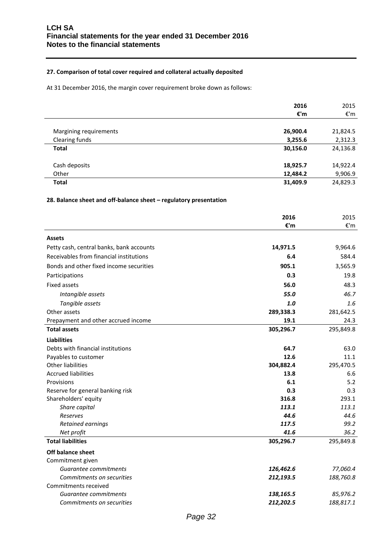# **27. Comparison of total cover required and collateral actually deposited**

At 31 December 2016, the margin cover requirement broke down as follows:

|                        | 2016     | 2015     |
|------------------------|----------|----------|
|                        | €'m      | €'m      |
|                        |          |          |
| Margining requirements | 26,900.4 | 21,824.5 |
| Clearing funds         | 3,255.6  | 2,312.3  |
| <b>Total</b>           | 30,156.0 | 24,136.8 |
|                        |          |          |
| Cash deposits          | 18,925.7 | 14,922.4 |
| Other                  | 12,484.2 | 9,906.9  |
| <b>Total</b>           | 31,409.9 | 24,829.3 |
|                        |          |          |

# **28. Balance sheet and off-balance sheet – regulatory presentation**

|                                          | 2016      | 2015      |
|------------------------------------------|-----------|-----------|
|                                          | €'m       | €'m       |
| <b>Assets</b>                            |           |           |
| Petty cash, central banks, bank accounts | 14,971.5  | 9,964.6   |
| Receivables from financial institutions  | 6.4       | 584.4     |
| Bonds and other fixed income securities  | 905.1     | 3,565.9   |
| Participations                           | 0.3       | 19.8      |
| <b>Fixed assets</b>                      | 56.0      | 48.3      |
| Intangible assets                        | 55.0      | 46.7      |
| Tangible assets                          | 1.0       | 1.6       |
| Other assets                             | 289,338.3 | 281,642.5 |
| Prepayment and other accrued income      | 19.1      | 24.3      |
| <b>Total assets</b>                      | 305,296.7 | 295,849.8 |
| <b>Liabilities</b>                       |           |           |
| Debts with financial institutions        | 64.7      | 63.0      |
| Payables to customer                     | 12.6      | 11.1      |
| <b>Other liabilities</b>                 | 304,882.4 | 295,470.5 |
| <b>Accrued liabilities</b>               | 13.8      | 6.6       |
| Provisions                               | 6.1       | 5.2       |
| Reserve for general banking risk         | 0.3       | 0.3       |
| Shareholders' equity                     | 316.8     | 293.1     |
| Share capital                            | 113.1     | 113.1     |
| Reserves                                 | 44.6      | 44.6      |
| Retained earnings                        | 117.5     | 99.2      |
| Net profit                               | 41.6      | 36.2      |
| <b>Total liabilities</b>                 | 305,296.7 | 295,849.8 |
| Off balance sheet                        |           |           |
| Commitment given                         |           |           |
| Guarantee commitments                    | 126,462.6 | 77,060.4  |
| Commitments on securities                | 212,193.5 | 188,760.8 |
| Commitments received                     |           |           |
| Guarantee commitments                    | 138,165.5 | 85,976.2  |
| Commitments on securities                | 212,202.5 | 188,817.1 |